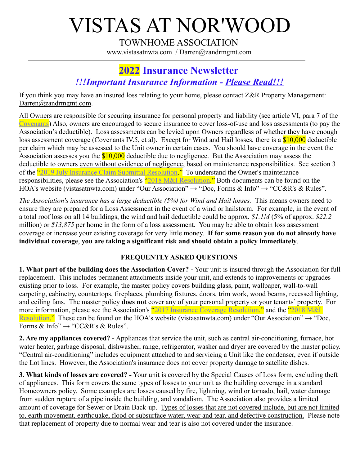## VISTAS AT NOR'WOOD

TOWNHOME ASSOCIATION [www.vistasatnwta.com](http://www.vistasatnwta.com/) / [Darren@zandrmgmt.com](mailto:Darren@zandrmgmt.com)

## **2022 Insurance Newsletter**  *!!!Important Insurance Information - Please Read!!!*

If you think you may have an insured loss relating to your home, please contact Z&R Property Management: [Darren@zandrmgmt.com.](mailto:Darren@zandrmgmt.com)

All Owners are responsible for securing insurance for personal property and liability (see article VI, para 7 of the [Covenants\)](https://vistasatnwta.com/CCRs_Rules/Declaration_of_Covenants.pdf) Also, owners are encouraged to secure insurance to cover loss-of-use and loss assessments (to pay the Association's deductible). Loss assessments can be levied upon Owners regardless of whether they have enough loss assessment coverage (Covenants IV.5, et al). Except for Wind and Hail losses, there is a \$10,000 deductible per claim which may be assessed to the Unit owner in certain cases. You should have coverage in the event the Association assesses you the  $$10,000$  deductible due to negligence. But the Association may assess the deductible to owners even without evidence of negligence, based on maintenance responsibilities. See section 3 of the <u>["2019 July Insurance Claim Submittal Resolution.](https://vistasatnwta.com/CCRs_Rules/2019_July_Insurance_Claim_Submittal_Resolution.pdf)</u>" To understand the Owner's maintenance responsibilities, please see the Association's <u>"2018 M&I Resolution</u>." Both documents can be found on the HOA's website (vistasatnwta.com) under "Our Association"  $\rightarrow$  "Doc, Forms & Info"  $\rightarrow$  "CC&R's & Rules".

*The Association's insurance has a large deductible (5%) for Wind and Hail losses.* This means owners need to ensure they are prepared for a Loss Assessment in the event of a wind or hailstorm. For example, in the event of a total roof loss on all 14 buildings, the wind and hail deductible could be approx. *\$1.1M* (5% of approx. *\$22.2*  million) or *\$13,875* per home in the form of a loss assessment. You may be able to obtain loss assessment coverage or increase your existing coverage for very little money. **If for some reason you do not already have individual coverage**, **you are taking a significant risk and should obtain a policy immediately**.

## **FREQUENTLY ASKED QUESTIONS**

**1. What part of the building does the Association Cover? -** Your unit is insured through the Association for full replacement. This includes permanent attachments inside your unit, and extends to improvements or upgrades existing prior to loss. For example, the master policy covers building glass, paint, wallpaper, wall-to-wall carpeting, cabinetry, countertops, fireplaces, plumbing fixtures, doors, trim work, wood beams, recessed lighting, and ceiling fans. The master policy **does not** cover any of your personal property or your tenants' property. For more information, please see the Association's ["2017 Insurance Coverage Resolution.](https://vistasatnwta.com/CCRs_Rules/2017_Insurance_Coverage_Resolution.pdf)" and the "2018 M&I [Resolution.](https://vistasatnwta.com/CCRs_Rules/2018_M&I_Resolution.pdf)" These can be found on the HOA's website (vistasatnwta.com) under "Our Association"  $\rightarrow$  "Doc, Forms & Info"  $\rightarrow$  "CC&R's & Rules".

**2. Are my appliances covered? -** Appliances that service the unit, such as central air-conditioning, furnace, hot water heater, garbage disposal, dishwasher, range, refrigerator, washer and dryer are covered by the master policy. "Central air-conditioning" includes equipment attached to and servicing a Unit like the condenser, even if outside the Lot lines. However, the Association's insurance does not cover property damage to satellite dishes.

**3. What kinds of losses are covered? -** Your unit is covered by the Special Causes of Loss form, excluding theft of appliances. This form covers the same types of losses to your unit as the building coverage in a standard Homeowners policy. Some examples are losses caused by fire, lightning, wind or tornado, hail, water damage from sudden rupture of a pipe inside the building, and vandalism. The Association also provides a limited amount of coverage for Sewer or Drain Back-up. Types of losses that are not covered include, but are not limited to, earth movement, earthquake, flood or subsurface water, wear and tear, and defective construction. Please note that replacement of property due to normal wear and tear is also not covered under the insurance.